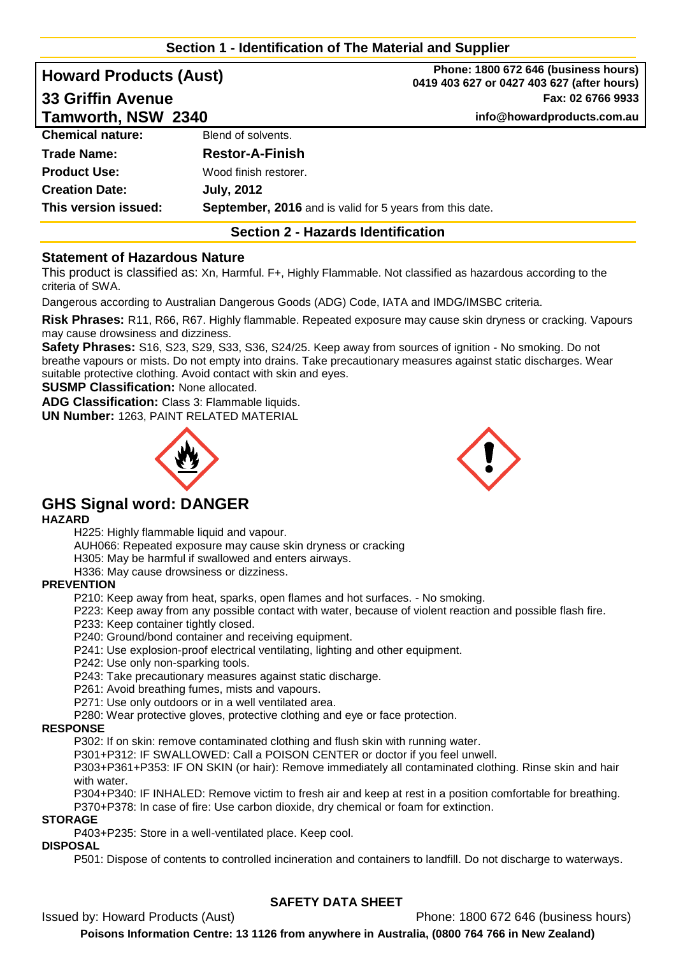# **Section 1 - Identification of The Material and Supplier**

| <b>Howard Products (Aust)</b> |                                                          | Phone: 1800 672 646 (business hours)<br>0419 403 627 or 0427 403 627 (after hours) |
|-------------------------------|----------------------------------------------------------|------------------------------------------------------------------------------------|
| <b>33 Griffin Avenue</b>      |                                                          | Fax: 02 6766 9933                                                                  |
| Tamworth, NSW 2340            |                                                          | info@howardproducts.com.au                                                         |
| <b>Chemical nature:</b>       | Blend of solvents.                                       |                                                                                    |
| <b>Trade Name:</b>            | <b>Restor-A-Finish</b>                                   |                                                                                    |
| <b>Product Use:</b>           | Wood finish restorer.                                    |                                                                                    |
| <b>Creation Date:</b>         | <b>July, 2012</b>                                        |                                                                                    |
| This version issued:          | September, 2016 and is valid for 5 years from this date. |                                                                                    |

## **Section 2 - Hazards Identification**

## **Statement of Hazardous Nature**

This product is classified as: Xn, Harmful. F+, Highly Flammable. Not classified as hazardous according to the criteria of SWA.

Dangerous according to Australian Dangerous Goods (ADG) Code, IATA and IMDG/IMSBC criteria.

**Risk Phrases:** R11, R66, R67. Highly flammable. Repeated exposure may cause skin dryness or cracking. Vapours may cause drowsiness and dizziness.

**Safety Phrases:** S16, S23, S29, S33, S36, S24/25. Keep away from sources of ignition - No smoking. Do not breathe vapours or mists. Do not empty into drains. Take precautionary measures against static discharges. Wear suitable protective clothing. Avoid contact with skin and eyes.

**SUSMP Classification:** None allocated.

**ADG Classification:** Class 3: Flammable liquids.

**UN Number:** 1263, PAINT RELATED MATERIAL





# **GHS Signal word: DANGER**

#### **HAZARD**

H225: Highly flammable liquid and vapour.

AUH066: Repeated exposure may cause skin dryness or cracking

H305: May be harmful if swallowed and enters airways.

H336: May cause drowsiness or dizziness.

#### **PREVENTION**

P210: Keep away from heat, sparks, open flames and hot surfaces. - No smoking.

P223: Keep away from any possible contact with water, because of violent reaction and possible flash fire.

P233: Keep container tightly closed.

P240: Ground/bond container and receiving equipment.

P241: Use explosion-proof electrical ventilating, lighting and other equipment.

P242: Use only non-sparking tools.

P243: Take precautionary measures against static discharge.

P261: Avoid breathing fumes, mists and vapours.

P271: Use only outdoors or in a well ventilated area.

P280: Wear protective gloves, protective clothing and eye or face protection.

#### **RESPONSE**

P302: If on skin: remove contaminated clothing and flush skin with running water.

P301+P312: IF SWALLOWED: Call a POISON CENTER or doctor if you feel unwell.

P303+P361+P353: IF ON SKIN (or hair): Remove immediately all contaminated clothing. Rinse skin and hair with water.

P304+P340: IF INHALED: Remove victim to fresh air and keep at rest in a position comfortable for breathing. P370+P378: In case of fire: Use carbon dioxide, dry chemical or foam for extinction.

#### **STORAGE**

P403+P235: Store in a well-ventilated place. Keep cool.

## **DISPOSAL**

P501: Dispose of contents to controlled incineration and containers to landfill. Do not discharge to waterways.

## **SAFETY DATA SHEET**

Issued by: Howard Products (Aust) Phone: 1800 672 646 (business hours)

**Poisons Information Centre: 13 1126 from anywhere in Australia, (0800 764 766 in New Zealand)**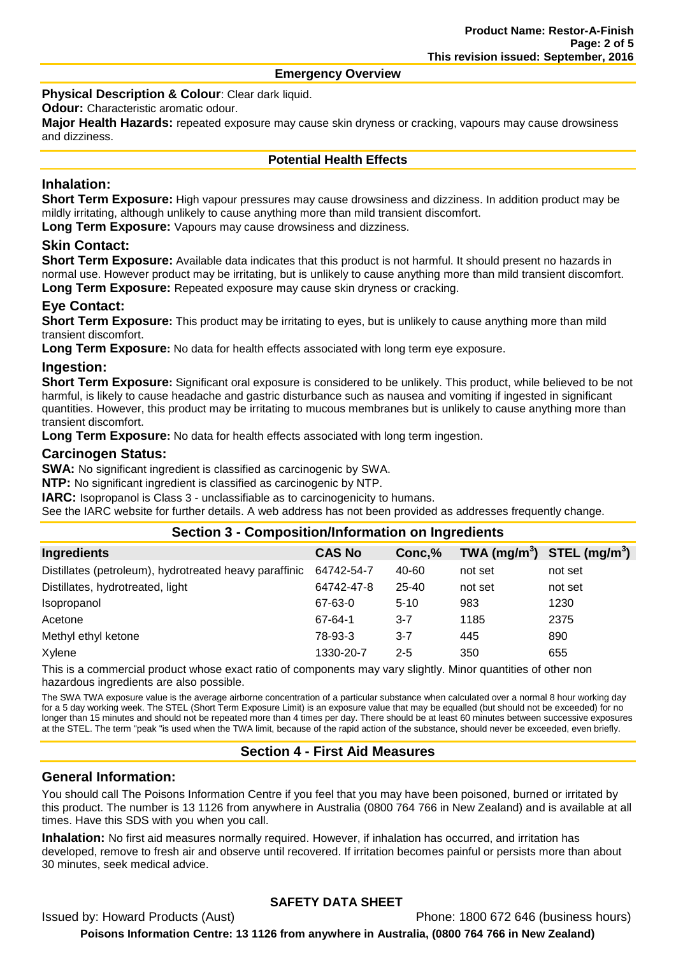#### **Emergency Overview**

**Physical Description & Colour: Clear dark liquid.** 

**Odour:** Characteristic aromatic odour.

**Major Health Hazards:** repeated exposure may cause skin dryness or cracking, vapours may cause drowsiness and dizziness.

#### **Potential Health Effects**

# **Inhalation:**

**Short Term Exposure:** High vapour pressures may cause drowsiness and dizziness. In addition product may be mildly irritating, although unlikely to cause anything more than mild transient discomfort.

**Long Term Exposure:** Vapours may cause drowsiness and dizziness.

## **Skin Contact:**

**Short Term Exposure:** Available data indicates that this product is not harmful. It should present no hazards in normal use. However product may be irritating, but is unlikely to cause anything more than mild transient discomfort. **Long Term Exposure:** Repeated exposure may cause skin dryness or cracking.

# **Eye Contact:**

**Short Term Exposure:** This product may be irritating to eyes, but is unlikely to cause anything more than mild transient discomfort.

**Long Term Exposure:** No data for health effects associated with long term eye exposure.

## **Ingestion:**

**Short Term Exposure:** Significant oral exposure is considered to be unlikely. This product, while believed to be not harmful, is likely to cause headache and gastric disturbance such as nausea and vomiting if ingested in significant quantities. However, this product may be irritating to mucous membranes but is unlikely to cause anything more than transient discomfort.

**Long Term Exposure:** No data for health effects associated with long term ingestion.

## **Carcinogen Status:**

**SWA:** No significant ingredient is classified as carcinogenic by SWA.

**NTP:** No significant ingredient is classified as carcinogenic by NTP.

**IARC:** Isopropanol is Class 3 - unclassifiable as to carcinogenicity to humans.

See the IARC website for further details. A web address has not been provided as addresses frequently change.

## **Section 3 - Composition/Information on Ingredients**

| <b>Ingredients</b>                                     | <b>CAS No</b> | Conc,%   | TWA $(mg/m^3)$ STEL $(mg/m^3)$ |         |
|--------------------------------------------------------|---------------|----------|--------------------------------|---------|
| Distillates (petroleum), hydrotreated heavy paraffinic | 64742-54-7    | 40-60    | not set                        | not set |
| Distillates, hydrotreated, light                       | 64742-47-8    | 25-40    | not set                        | not set |
| <i>Isopropanol</i>                                     | 67-63-0       | $5 - 10$ | 983                            | 1230    |
| Acetone                                                | 67-64-1       | $3 - 7$  | 1185                           | 2375    |
| Methyl ethyl ketone                                    | 78-93-3       | $3 - 7$  | 445                            | 890     |
| Xylene                                                 | 1330-20-7     | $2 - 5$  | 350                            | 655     |

This is a commercial product whose exact ratio of components may vary slightly. Minor quantities of other non hazardous ingredients are also possible.

The SWA TWA exposure value is the average airborne concentration of a particular substance when calculated over a normal 8 hour working day for a 5 day working week. The STEL (Short Term Exposure Limit) is an exposure value that may be equalled (but should not be exceeded) for no longer than 15 minutes and should not be repeated more than 4 times per day. There should be at least 60 minutes between successive exposures at the STEL. The term "peak "is used when the TWA limit, because of the rapid action of the substance, should never be exceeded, even briefly.

## **Section 4 - First Aid Measures**

## **General Information:**

You should call The Poisons Information Centre if you feel that you may have been poisoned, burned or irritated by this product. The number is 13 1126 from anywhere in Australia (0800 764 766 in New Zealand) and is available at all times. Have this SDS with you when you call.

**Inhalation:** No first aid measures normally required. However, if inhalation has occurred, and irritation has developed, remove to fresh air and observe until recovered. If irritation becomes painful or persists more than about 30 minutes, seek medical advice.

# **SAFETY DATA SHEET**

Issued by: Howard Products (Aust) Phone: 1800 672 646 (business hours) **Poisons Information Centre: 13 1126 from anywhere in Australia, (0800 764 766 in New Zealand)**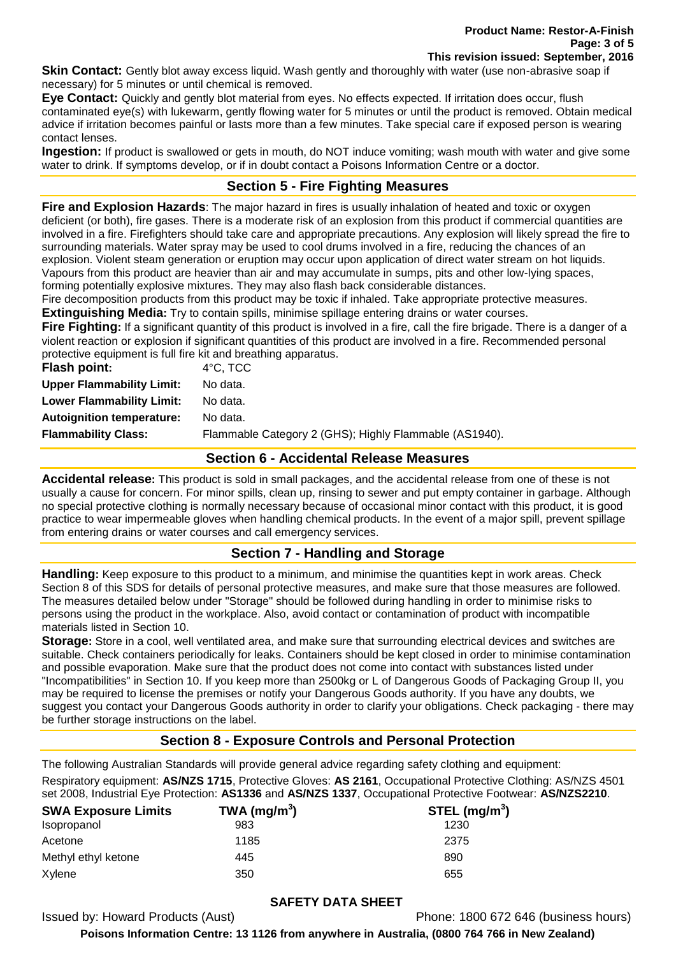**Skin Contact:** Gently blot away excess liquid. Wash gently and thoroughly with water (use non-abrasive soap if necessary) for 5 minutes or until chemical is removed.

**Eye Contact:** Quickly and gently blot material from eyes. No effects expected. If irritation does occur, flush contaminated eye(s) with lukewarm, gently flowing water for 5 minutes or until the product is removed. Obtain medical advice if irritation becomes painful or lasts more than a few minutes. Take special care if exposed person is wearing contact lenses.

**Ingestion:** If product is swallowed or gets in mouth, do NOT induce vomiting; wash mouth with water and give some water to drink. If symptoms develop, or if in doubt contact a Poisons Information Centre or a doctor.

# **Section 5 - Fire Fighting Measures**

**Fire and Explosion Hazards**: The major hazard in fires is usually inhalation of heated and toxic or oxygen deficient (or both), fire gases. There is a moderate risk of an explosion from this product if commercial quantities are involved in a fire. Firefighters should take care and appropriate precautions. Any explosion will likely spread the fire to surrounding materials. Water spray may be used to cool drums involved in a fire, reducing the chances of an explosion. Violent steam generation or eruption may occur upon application of direct water stream on hot liquids. Vapours from this product are heavier than air and may accumulate in sumps, pits and other low-lying spaces, forming potentially explosive mixtures. They may also flash back considerable distances.

Fire decomposition products from this product may be toxic if inhaled. Take appropriate protective measures. **Extinguishing Media:** Try to contain spills, minimise spillage entering drains or water courses.

**Fire Fighting:** If a significant quantity of this product is involved in a fire, call the fire brigade. There is a danger of a violent reaction or explosion if significant quantities of this product are involved in a fire. Recommended personal protective equipment is full fire kit and breathing apparatus.

| $4^{\circ}$ C, TCC                                     |
|--------------------------------------------------------|
| No data.                                               |
| No data.                                               |
| No data.                                               |
| Flammable Category 2 (GHS); Highly Flammable (AS1940). |
|                                                        |

## **Section 6 - Accidental Release Measures**

**Accidental release:** This product is sold in small packages, and the accidental release from one of these is not usually a cause for concern. For minor spills, clean up, rinsing to sewer and put empty container in garbage. Although no special protective clothing is normally necessary because of occasional minor contact with this product, it is good practice to wear impermeable gloves when handling chemical products. In the event of a major spill, prevent spillage from entering drains or water courses and call emergency services.

## **Section 7 - Handling and Storage**

**Handling:** Keep exposure to this product to a minimum, and minimise the quantities kept in work areas. Check Section 8 of this SDS for details of personal protective measures, and make sure that those measures are followed. The measures detailed below under "Storage" should be followed during handling in order to minimise risks to persons using the product in the workplace. Also, avoid contact or contamination of product with incompatible materials listed in Section 10.

**Storage:** Store in a cool, well ventilated area, and make sure that surrounding electrical devices and switches are suitable. Check containers periodically for leaks. Containers should be kept closed in order to minimise contamination and possible evaporation. Make sure that the product does not come into contact with substances listed under "Incompatibilities" in Section 10. If you keep more than 2500kg or L of Dangerous Goods of Packaging Group II, you may be required to license the premises or notify your Dangerous Goods authority. If you have any doubts, we suggest you contact your Dangerous Goods authority in order to clarify your obligations. Check packaging - there may be further storage instructions on the label.

# **Section 8 - Exposure Controls and Personal Protection**

The following Australian Standards will provide general advice regarding safety clothing and equipment: Respiratory equipment: **AS/NZS 1715**, Protective Gloves: **AS 2161**, Occupational Protective Clothing: AS/NZS 4501 set 2008, Industrial Eye Protection: **AS1336** and **AS/NZS 1337**, Occupational Protective Footwear: **AS/NZS2210**.

| <b>SWA Exposure Limits</b> | TWA (mg/m <sup>3</sup> ) | STEL $(mg/m3)$ |
|----------------------------|--------------------------|----------------|
| Isopropanol                | 983                      | 1230           |
| Acetone                    | 1185                     | 2375           |
| Methyl ethyl ketone        | 445                      | 890            |
| Xylene                     | 350                      | 655            |

## **SAFETY DATA SHEET**

Issued by: Howard Products (Aust) Phone: 1800 672 646 (business hours)

**Poisons Information Centre: 13 1126 from anywhere in Australia, (0800 764 766 in New Zealand)**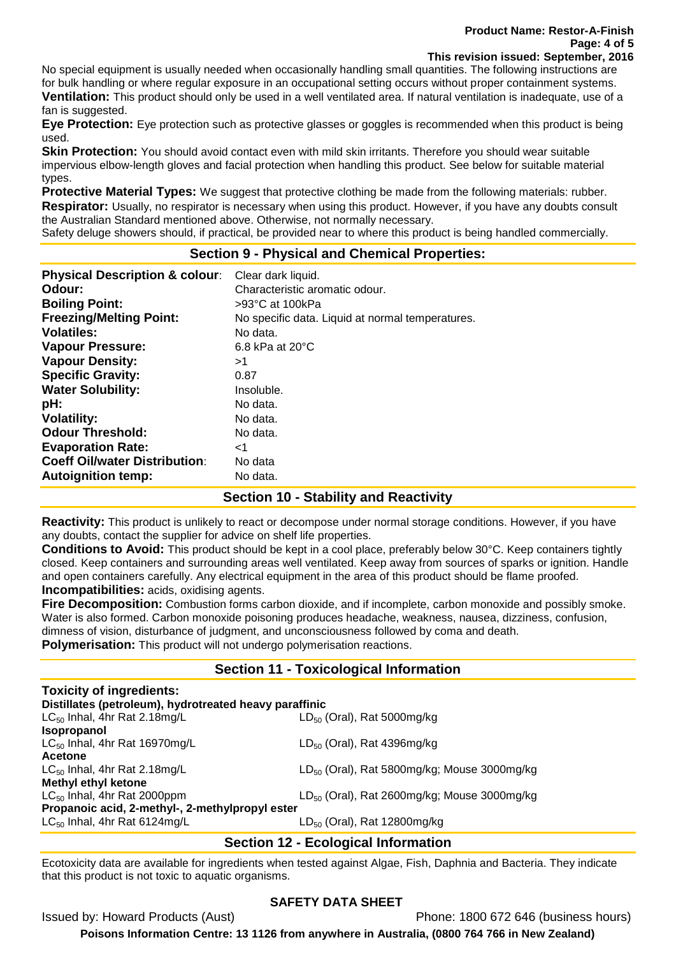No special equipment is usually needed when occasionally handling small quantities. The following instructions are for bulk handling or where regular exposure in an occupational setting occurs without proper containment systems. **Ventilation:** This product should only be used in a well ventilated area. If natural ventilation is inadequate, use of a

fan is suggested. **Eye Protection:** Eye protection such as protective glasses or goggles is recommended when this product is being used.

**Skin Protection:** You should avoid contact even with mild skin irritants. Therefore you should wear suitable impervious elbow-length gloves and facial protection when handling this product. See below for suitable material types.

**Protective Material Types:** We suggest that protective clothing be made from the following materials: rubber. **Respirator:** Usually, no respirator is necessary when using this product. However, if you have any doubts consult the Australian Standard mentioned above. Otherwise, not normally necessary.

Safety deluge showers should, if practical, be provided near to where this product is being handled commercially.

## **Section 9 - Physical and Chemical Properties:**

| <b>Physical Description &amp; colour:</b> | Clear dark liquid.                               |
|-------------------------------------------|--------------------------------------------------|
| Odour:                                    | Characteristic aromatic odour.                   |
| <b>Boiling Point:</b>                     | >93°C at 100kPa                                  |
| <b>Freezing/Melting Point:</b>            | No specific data. Liquid at normal temperatures. |
| <b>Volatiles:</b>                         | No data.                                         |
| <b>Vapour Pressure:</b>                   | $6.8$ kPa at $20^{\circ}$ C                      |
| <b>Vapour Density:</b>                    | >1                                               |
| <b>Specific Gravity:</b>                  | 0.87                                             |
| <b>Water Solubility:</b>                  | Insoluble.                                       |
| pH:                                       | No data.                                         |
| <b>Volatility:</b>                        | No data.                                         |
| <b>Odour Threshold:</b>                   | No data.                                         |
| <b>Evaporation Rate:</b>                  | ا>                                               |
| <b>Coeff Oil/water Distribution:</b>      | No data                                          |
| <b>Autoignition temp:</b>                 | No data.                                         |

## **Section 10 - Stability and Reactivity**

**Reactivity:** This product is unlikely to react or decompose under normal storage conditions. However, if you have any doubts, contact the supplier for advice on shelf life properties.

**Conditions to Avoid:** This product should be kept in a cool place, preferably below 30°C. Keep containers tightly closed. Keep containers and surrounding areas well ventilated. Keep away from sources of sparks or ignition. Handle and open containers carefully. Any electrical equipment in the area of this product should be flame proofed. **Incompatibilities:** acids, oxidising agents.

**Fire Decomposition:** Combustion forms carbon dioxide, and if incomplete, carbon monoxide and possibly smoke. Water is also formed. Carbon monoxide poisoning produces headache, weakness, nausea, dizziness, confusion, dimness of vision, disturbance of judgment, and unconsciousness followed by coma and death. **Polymerisation:** This product will not undergo polymerisation reactions.

## **Section 11 - Toxicological Information**

| Distillates (petroleum), hydrotreated heavy paraffinic |
|--------------------------------------------------------|
| $LD_{50}$ (Oral), Rat 5000mg/kg                        |
|                                                        |
| $LD_{50}$ (Oral), Rat 4396mg/kg                        |
|                                                        |
| $LD_{50}$ (Oral), Rat 5800mg/kg; Mouse 3000mg/kg       |
|                                                        |
| $LD_{50}$ (Oral), Rat 2600mg/kg; Mouse 3000mg/kg       |
| Propanoic acid, 2-methyl-, 2-methylpropyl ester        |
| $LD_{50}$ (Oral), Rat 12800mg/kg                       |
|                                                        |

# **Section 12 - Ecological Information**

Ecotoxicity data are available for ingredients when tested against Algae, Fish, Daphnia and Bacteria. They indicate that this product is not toxic to aquatic organisms.

## **SAFETY DATA SHEET**

Issued by: Howard Products (Aust) Phone: 1800 672 646 (business hours)

**Poisons Information Centre: 13 1126 from anywhere in Australia, (0800 764 766 in New Zealand)**